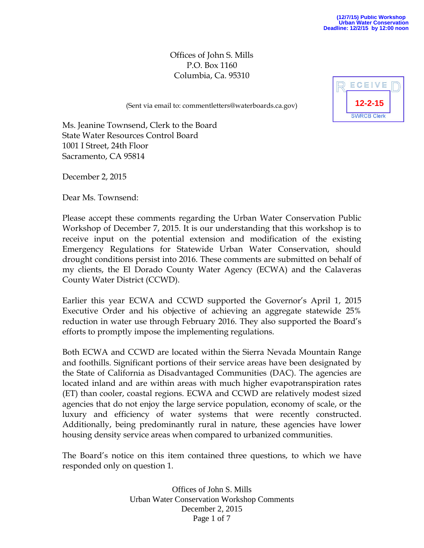Offices of John S. Mills P.O. Box 1160 Columbia, Ca. 95310



(Sent via email to: commentletters@waterboards.ca.gov)

Ms. Jeanine Townsend, Clerk to the Board State Water Resources Control Board 1001 I Street, 24th Floor Sacramento, CA 95814

December 2, 2015

Dear Ms. Townsend:

Please accept these comments regarding the Urban Water Conservation Public Workshop of December 7, 2015. It is our understanding that this workshop is to receive input on the potential extension and modification of the existing Emergency Regulations for Statewide Urban Water Conservation, should drought conditions persist into 2016. These comments are submitted on behalf of my clients, the El Dorado County Water Agency (ECWA) and the Calaveras County Water District (CCWD).

Earlier this year ECWA and CCWD supported the Governor's April 1, 2015 Executive Order and his objective of achieving an aggregate statewide 25% reduction in water use through February 2016. They also supported the Board's efforts to promptly impose the implementing regulations.

Both ECWA and CCWD are located within the Sierra Nevada Mountain Range and foothills. Significant portions of their service areas have been designated by the State of California as Disadvantaged Communities (DAC). The agencies are located inland and are within areas with much higher evapotranspiration rates (ET) than cooler, coastal regions. ECWA and CCWD are relatively modest sized agencies that do not enjoy the large service population, economy of scale, or the luxury and efficiency of water systems that were recently constructed. Additionally, being predominantly rural in nature, these agencies have lower housing density service areas when compared to urbanized communities.

The Board's notice on this item contained three questions, to which we have responded only on question 1.

> Offices of John S. Mills Urban Water Conservation Workshop Comments December 2, 2015 Page 1 of 7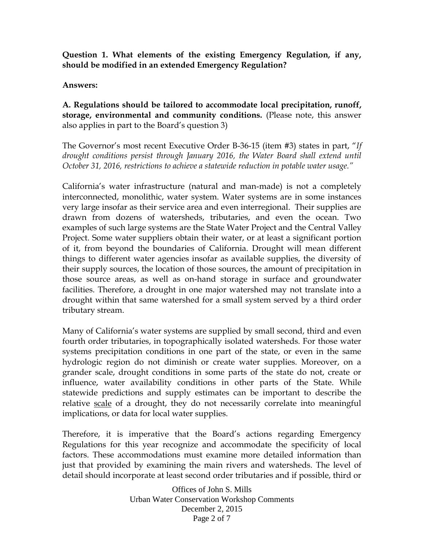**Question 1. What elements of the existing Emergency Regulation, if any, should be modified in an extended Emergency Regulation?**

### **Answers:**

**A. Regulations should be tailored to accommodate local precipitation, runoff, storage, environmental and community conditions.** (Please note, this answer also applies in part to the Board's question 3)

The Governor's most recent Executive Order B-36-15 (item #3) states in part, "*If drought conditions persist through January 2016, the Water Board shall extend until October 31, 2016, restrictions to achieve a statewide reduction in potable water usage."*

California's water infrastructure (natural and man-made) is not a completely interconnected, monolithic, water system. Water systems are in some instances very large insofar as their service area and even interregional. Their supplies are drawn from dozens of watersheds, tributaries, and even the ocean. Two examples of such large systems are the State Water Project and the Central Valley Project. Some water suppliers obtain their water, or at least a significant portion of it, from beyond the boundaries of California. Drought will mean different things to different water agencies insofar as available supplies, the diversity of their supply sources, the location of those sources, the amount of precipitation in those source areas, as well as on-hand storage in surface and groundwater facilities. Therefore, a drought in one major watershed may not translate into a drought within that same watershed for a small system served by a third order tributary stream.

Many of California's water systems are supplied by small second, third and even fourth order tributaries, in topographically isolated watersheds. For those water systems precipitation conditions in one part of the state, or even in the same hydrologic region do not diminish or create water supplies. Moreover, on a grander scale, drought conditions in some parts of the state do not, create or influence, water availability conditions in other parts of the State. While statewide predictions and supply estimates can be important to describe the relative scale of a drought, they do not necessarily correlate into meaningful implications, or data for local water supplies.

Therefore, it is imperative that the Board's actions regarding Emergency Regulations for this year recognize and accommodate the specificity of local factors. These accommodations must examine more detailed information than just that provided by examining the main rivers and watersheds. The level of detail should incorporate at least second order tributaries and if possible, third or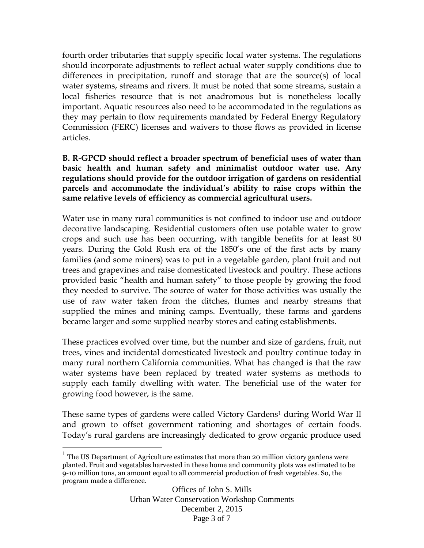fourth order tributaries that supply specific local water systems. The regulations should incorporate adjustments to reflect actual water supply conditions due to differences in precipitation, runoff and storage that are the source(s) of local water systems, streams and rivers. It must be noted that some streams, sustain a local fisheries resource that is not anadromous but is nonetheless locally important. Aquatic resources also need to be accommodated in the regulations as they may pertain to flow requirements mandated by Federal Energy Regulatory Commission (FERC) licenses and waivers to those flows as provided in license articles.

### **B. R-GPCD should reflect a broader spectrum of beneficial uses of water than basic health and human safety and minimalist outdoor water use. Any regulations should provide for the outdoor irrigation of gardens on residential parcels and accommodate the individual's ability to raise crops within the same relative levels of efficiency as commercial agricultural users.**

Water use in many rural communities is not confined to indoor use and outdoor decorative landscaping. Residential customers often use potable water to grow crops and such use has been occurring, with tangible benefits for at least 80 years. During the Gold Rush era of the 1850's one of the first acts by many families (and some miners) was to put in a vegetable garden, plant fruit and nut trees and grapevines and raise domesticated livestock and poultry. These actions provided basic "health and human safety" to those people by growing the food they needed to survive. The source of water for those activities was usually the use of raw water taken from the ditches, flumes and nearby streams that supplied the mines and mining camps. Eventually, these farms and gardens became larger and some supplied nearby stores and eating establishments.

These practices evolved over time, but the number and size of gardens, fruit, nut trees, vines and incidental domesticated livestock and poultry continue today in many rural northern California communities. What has changed is that the raw water systems have been replaced by treated water systems as methods to supply each family dwelling with water. The beneficial use of the water for growing food however, is the same.

These same types of gardens were called Victory Gardens<sup>1</sup> during World War II and grown to offset government rationing and shortages of certain foods. Today's rural gardens are increasingly dedicated to grow organic produce used

 $\overline{a}$ 

 $1$  The US Department of Agriculture estimates that more than 20 million victory gardens were planted. Fruit and vegetables harvested in these home and community plots was estimated to be 9-10 million tons, an amount equal to all commercial production of fresh vegetables. So, the program made a difference.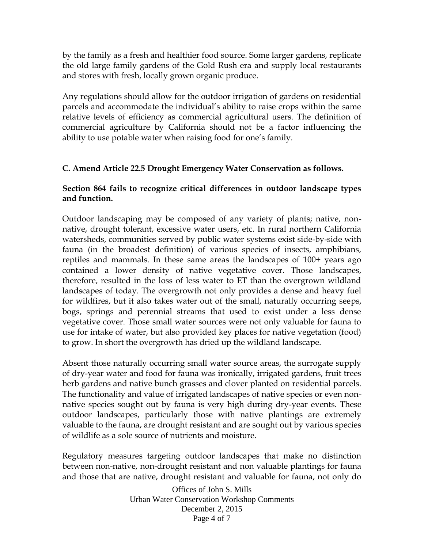by the family as a fresh and healthier food source. Some larger gardens, replicate the old large family gardens of the Gold Rush era and supply local restaurants and stores with fresh, locally grown organic produce.

Any regulations should allow for the outdoor irrigation of gardens on residential parcels and accommodate the individual's ability to raise crops within the same relative levels of efficiency as commercial agricultural users. The definition of commercial agriculture by California should not be a factor influencing the ability to use potable water when raising food for one's family.

### **C. Amend Article 22.5 Drought Emergency Water Conservation as follows.**

### **Section 864 fails to recognize critical differences in outdoor landscape types and function.**

Outdoor landscaping may be composed of any variety of plants; native, nonnative, drought tolerant, excessive water users, etc. In rural northern California watersheds, communities served by public water systems exist side-by-side with fauna (in the broadest definition) of various species of insects, amphibians, reptiles and mammals. In these same areas the landscapes of 100+ years ago contained a lower density of native vegetative cover. Those landscapes, therefore, resulted in the loss of less water to ET than the overgrown wildland landscapes of today. The overgrowth not only provides a dense and heavy fuel for wildfires, but it also takes water out of the small, naturally occurring seeps, bogs, springs and perennial streams that used to exist under a less dense vegetative cover. Those small water sources were not only valuable for fauna to use for intake of water, but also provided key places for native vegetation (food) to grow. In short the overgrowth has dried up the wildland landscape.

Absent those naturally occurring small water source areas, the surrogate supply of dry-year water and food for fauna was ironically, irrigated gardens, fruit trees herb gardens and native bunch grasses and clover planted on residential parcels. The functionality and value of irrigated landscapes of native species or even nonnative species sought out by fauna is very high during dry-year events. These outdoor landscapes, particularly those with native plantings are extremely valuable to the fauna, are drought resistant and are sought out by various species of wildlife as a sole source of nutrients and moisture.

Regulatory measures targeting outdoor landscapes that make no distinction between non-native, non-drought resistant and non valuable plantings for fauna and those that are native, drought resistant and valuable for fauna, not only do

> Offices of John S. Mills Urban Water Conservation Workshop Comments December 2, 2015 Page 4 of 7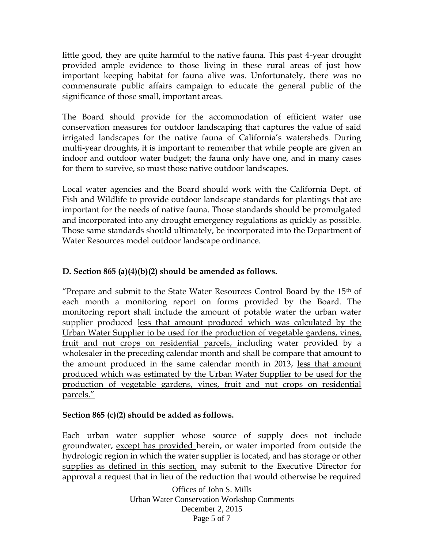little good, they are quite harmful to the native fauna. This past 4-year drought provided ample evidence to those living in these rural areas of just how important keeping habitat for fauna alive was. Unfortunately, there was no commensurate public affairs campaign to educate the general public of the significance of those small, important areas.

The Board should provide for the accommodation of efficient water use conservation measures for outdoor landscaping that captures the value of said irrigated landscapes for the native fauna of California's watersheds. During multi-year droughts, it is important to remember that while people are given an indoor and outdoor water budget; the fauna only have one, and in many cases for them to survive, so must those native outdoor landscapes.

Local water agencies and the Board should work with the California Dept. of Fish and Wildlife to provide outdoor landscape standards for plantings that are important for the needs of native fauna. Those standards should be promulgated and incorporated into any drought emergency regulations as quickly as possible. Those same standards should ultimately, be incorporated into the Department of Water Resources model outdoor landscape ordinance.

# **D. Section 865 (a)(4)(b)(2) should be amended as follows.**

"Prepare and submit to the State Water Resources Control Board by the  $15<sup>th</sup>$  of each month a monitoring report on forms provided by the Board. The monitoring report shall include the amount of potable water the urban water supplier produced less that amount produced which was calculated by the Urban Water Supplier to be used for the production of vegetable gardens, vines, fruit and nut crops on residential parcels, including water provided by a wholesaler in the preceding calendar month and shall be compare that amount to the amount produced in the same calendar month in 2013, less that amount produced which was estimated by the Urban Water Supplier to be used for the production of vegetable gardens, vines, fruit and nut crops on residential parcels."

# **Section 865 (c)(2) should be added as follows.**

Each urban water supplier whose source of supply does not include groundwater, except has provided herein, or water imported from outside the hydrologic region in which the water supplier is located, and has storage or other supplies as defined in this section, may submit to the Executive Director for approval a request that in lieu of the reduction that would otherwise be required

> Offices of John S. Mills Urban Water Conservation Workshop Comments December 2, 2015 Page 5 of 7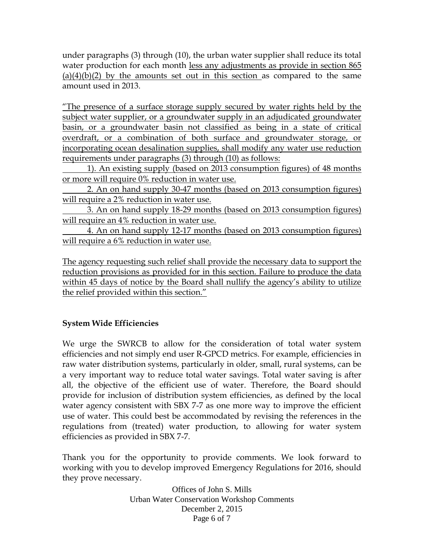under paragraphs (3) through (10), the urban water supplier shall reduce its total water production for each month less any adjustments as provide in section 865  $(a)(4)(b)(2)$  by the amounts set out in this section as compared to the same amount used in 2013.

"The presence of a surface storage supply secured by water rights held by the subject water supplier, or a groundwater supply in an adjudicated groundwater basin, or a groundwater basin not classified as being in a state of critical overdraft, or a combination of both surface and groundwater storage, or incorporating ocean desalination supplies, shall modify any water use reduction requirements under paragraphs (3) through (10) as follows:

1). An existing supply (based on 2013 consumption figures) of 48 months or more will require 0% reduction in water use.

2. An on hand supply 30-47 months (based on 2013 consumption figures) will require a 2% reduction in water use.

3. An on hand supply 18-29 months (based on 2013 consumption figures) will require an 4% reduction in water use.

4. An on hand supply 12-17 months (based on 2013 consumption figures) will require a 6% reduction in water use.

The agency requesting such relief shall provide the necessary data to support the reduction provisions as provided for in this section. Failure to produce the data within 45 days of notice by the Board shall nullify the agency's ability to utilize the relief provided within this section."

# **System Wide Efficiencies**

We urge the SWRCB to allow for the consideration of total water system efficiencies and not simply end user R-GPCD metrics. For example, efficiencies in raw water distribution systems, particularly in older, small, rural systems, can be a very important way to reduce total water savings. Total water saving is after all, the objective of the efficient use of water. Therefore, the Board should provide for inclusion of distribution system efficiencies, as defined by the local water agency consistent with SBX 7-7 as one more way to improve the efficient use of water. This could best be accommodated by revising the references in the regulations from (treated) water production, to allowing for water system efficiencies as provided in SBX 7-7.

Thank you for the opportunity to provide comments. We look forward to working with you to develop improved Emergency Regulations for 2016, should they prove necessary.

> Offices of John S. Mills Urban Water Conservation Workshop Comments December 2, 2015 Page 6 of 7